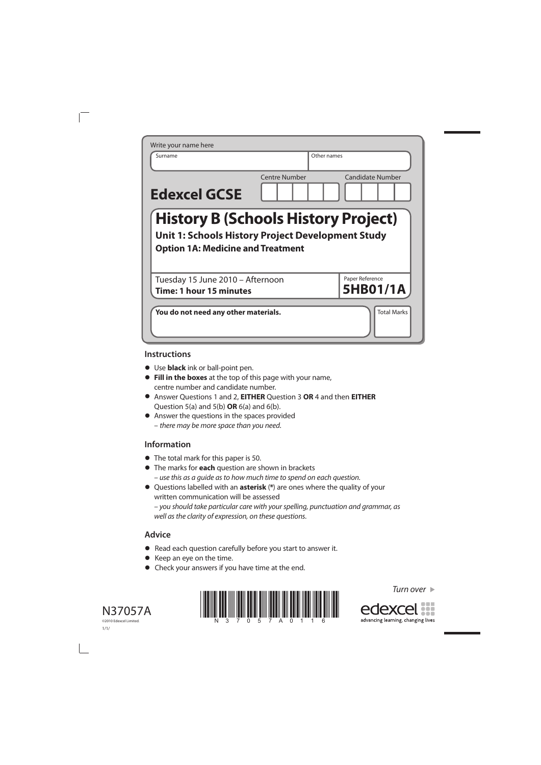# N37057A

©2010 Edexcel Limited.

1/1/

| Surname                                                            | Other names                                                                              |
|--------------------------------------------------------------------|------------------------------------------------------------------------------------------|
| <b>Edexcel GCSE</b>                                                | <b>Centre Number</b><br><b>Candidate Number</b>                                          |
| <b>Option 1A: Medicine and Treatment</b>                           | History B (Schools History Project)<br>Unit 1: Schools History Project Development Study |
|                                                                    |                                                                                          |
| Tuesday 15 June 2010 - Afternoon<br><b>Time: 1 hour 15 minutes</b> | Paper Reference<br><b>5HB01/1A</b>                                                       |



#### **Instructions**

- **•** Use **black** ink or ball-point pen.
- **• Fill in the boxes** at the top of this page with your name, centre number and candidate number.
- Answer Questions 1 and 2, **EITHER** Question 3 **OR** 4 and then **EITHER**  Question 5(a) and 5(b) **OR** 6(a) and 6(b).
- **•** Answer the questions in the spaces provided – there may be more space than you need.

## **Information**

- **•** The total mark for this paper is 50.
- **•** The marks for **each** question are shown in brackets – use this as a guide as to how much time to spend on each question.
- **•** Questions labelled with an **asterisk** (**\***) are ones where the quality of your written communication will be assessed – you should take particular care with your spelling, punctuation and grammar, as well as the clarity of expression, on these questions.

# **Advice**

- **•** Read each question carefully before you start to answer it.
- **•** Keep an eye on the time.
- **•** Check your answers if you have time at the end.

#### Turn over ▶

edexcel ::: advancing learning, changing lives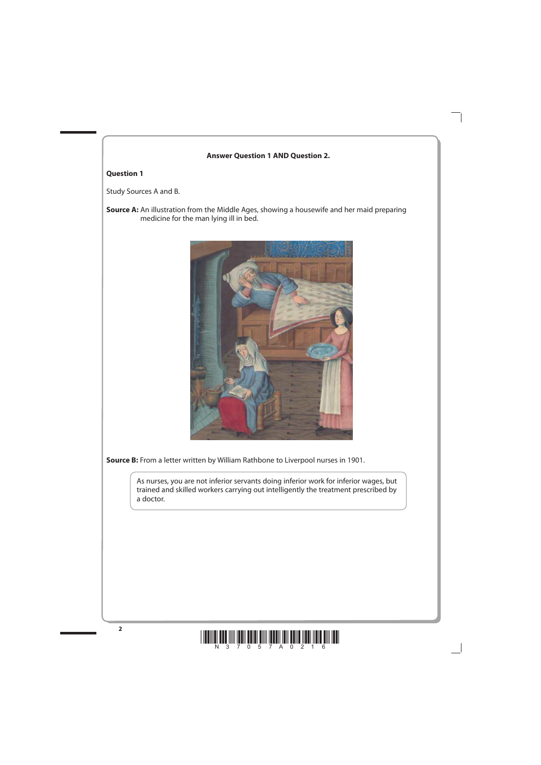

# **Answer Question 1 AND Question 2.**

#### **Question 1**

Study Sources A and B.

**Source A:** An illustration from the Middle Ages, showing a housewife and her maid preparing medicine for the man lying ill in bed.



**Source B:** From a letter written by William Rathbone to Liverpool nurses in 1901.

As nurses, you are not inferior servants doing inferior work for inferior wages, but trained and skilled workers carrying out intelligently the treatment prescribed by a doctor.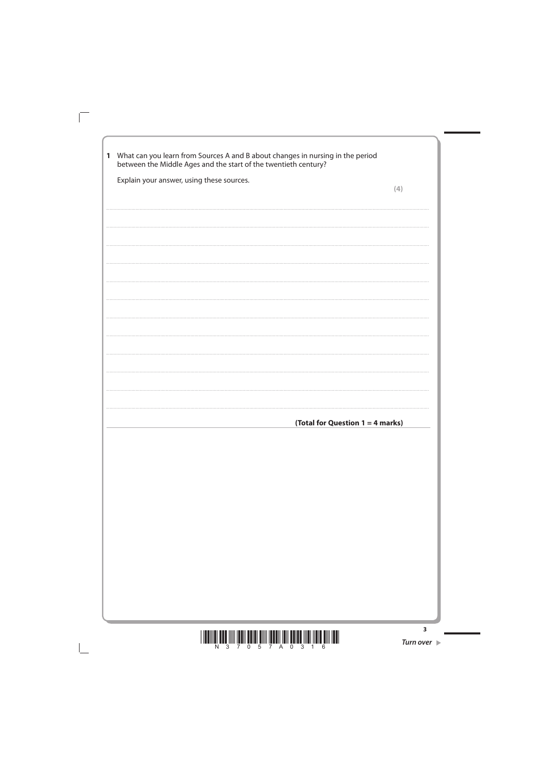| What can you learn from Sources A and B about changes in nursing in the period<br>$\mathbf{1}$ |     |
|------------------------------------------------------------------------------------------------|-----|
| between the Middle Ages and the start of the twentieth century?                                |     |
| Explain your answer, using these sources.                                                      |     |
|                                                                                                | (4) |
|                                                                                                |     |
|                                                                                                |     |
|                                                                                                |     |
|                                                                                                |     |
|                                                                                                |     |
|                                                                                                |     |
|                                                                                                |     |
|                                                                                                |     |
|                                                                                                |     |
|                                                                                                |     |
|                                                                                                |     |
|                                                                                                |     |
|                                                                                                |     |
|                                                                                                |     |
|                                                                                                |     |
|                                                                                                |     |
| (Total for Question 1 = 4 marks)                                                               |     |
|                                                                                                |     |
|                                                                                                |     |
|                                                                                                |     |
|                                                                                                |     |
|                                                                                                |     |
|                                                                                                |     |
|                                                                                                |     |
|                                                                                                |     |
|                                                                                                |     |
|                                                                                                |     |

 $\sqrt{1-\frac{1}{2}}$  and  $\sqrt{1-\frac{1}{2}}$  .

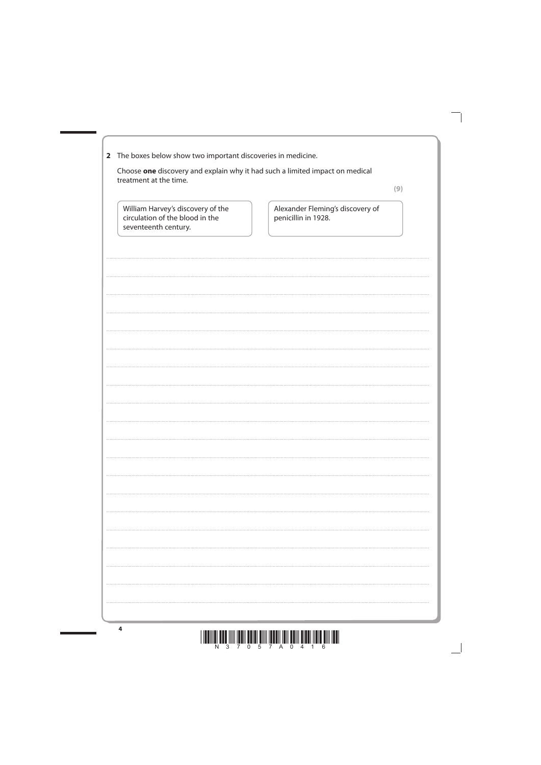|                                                                                              | (9)                                                     |
|----------------------------------------------------------------------------------------------|---------------------------------------------------------|
| William Harvey's discovery of the<br>circulation of the blood in the<br>seventeenth century. | Alexander Fleming's discovery of<br>penicillin in 1928. |
|                                                                                              |                                                         |
|                                                                                              |                                                         |
|                                                                                              |                                                         |
|                                                                                              |                                                         |
|                                                                                              |                                                         |
|                                                                                              |                                                         |
|                                                                                              |                                                         |
|                                                                                              |                                                         |
|                                                                                              |                                                         |
|                                                                                              |                                                         |
|                                                                                              |                                                         |
|                                                                                              |                                                         |
|                                                                                              |                                                         |
|                                                                                              |                                                         |
|                                                                                              |                                                         |





 $\overline{\phantom{a}}$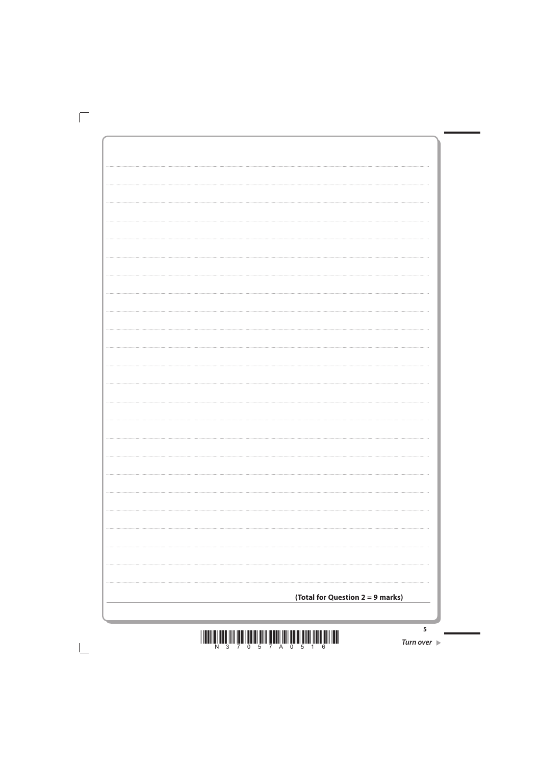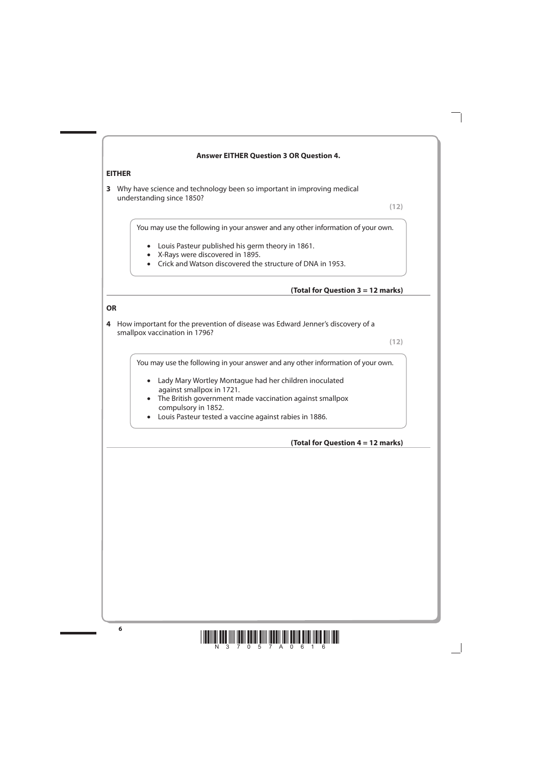

# **Answer EITHER Question 3 OR Question 4.**

## **EITHER**

**3** Why have science and technology been so important in improving medical understanding since 1850?

**(12)**

You may use the following in your answer and any other information of your own.

- Louis Pasteur published his germ theory in 1861.
- X-Rays were discovered in 1895.
- Crick and Watson discovered the structure of DNA in 1953.

# **(Total for Question 3 = 12 marks)**

## **OR**

**4** How important for the prevention of disease was Edward Jenner's discovery of a smallpox vaccination in 1796?

**(12)**

You may use the following in your answer and any other information of your own.

- Lady Mary Wortley Montague had her children inoculated against smallpox in 1721.
- The British government made vaccination against smallpox compulsory in 1852.
- Louis Pasteur tested a vaccine against rabies in 1886.

## **(Total for Question 4 = 12 marks)**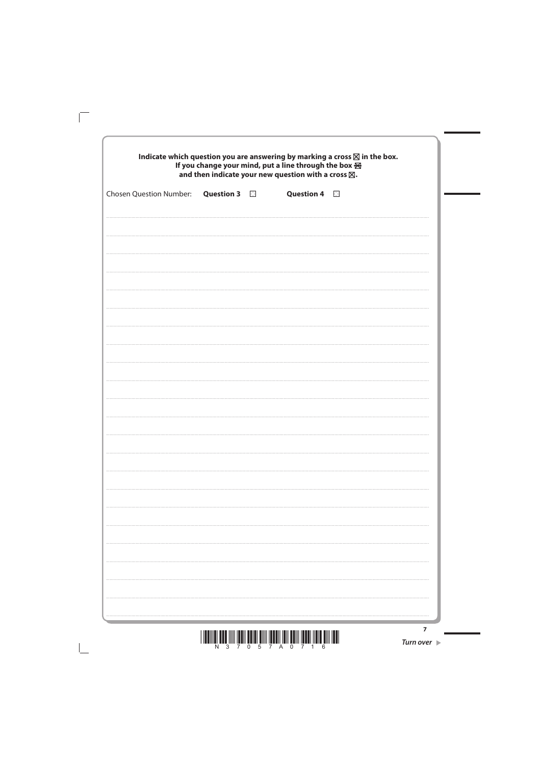| Indicate which question you are answering by marking a cross $\boxtimes$ in the box.<br>If you change your mind, put a line through the box $\boxtimes$<br>and then indicate your new question with a cross $\boxtimes$ . |  |            |  |
|---------------------------------------------------------------------------------------------------------------------------------------------------------------------------------------------------------------------------|--|------------|--|
| Chosen Question Number: Question 3                                                                                                                                                                                        |  | Question 4 |  |
|                                                                                                                                                                                                                           |  |            |  |
|                                                                                                                                                                                                                           |  |            |  |
|                                                                                                                                                                                                                           |  |            |  |
|                                                                                                                                                                                                                           |  |            |  |
|                                                                                                                                                                                                                           |  |            |  |
|                                                                                                                                                                                                                           |  |            |  |
|                                                                                                                                                                                                                           |  |            |  |
|                                                                                                                                                                                                                           |  |            |  |
|                                                                                                                                                                                                                           |  |            |  |
|                                                                                                                                                                                                                           |  |            |  |
|                                                                                                                                                                                                                           |  |            |  |
|                                                                                                                                                                                                                           |  |            |  |
|                                                                                                                                                                                                                           |  |            |  |
|                                                                                                                                                                                                                           |  |            |  |
|                                                                                                                                                                                                                           |  |            |  |
|                                                                                                                                                                                                                           |  |            |  |
|                                                                                                                                                                                                                           |  |            |  |
|                                                                                                                                                                                                                           |  |            |  |

 $\sqrt{\phantom{a}}$ 

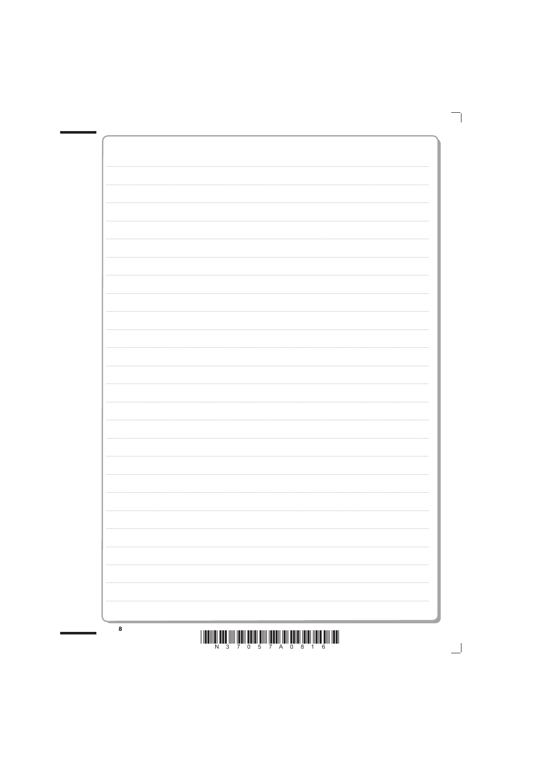

 $\overline{\phantom{a}}$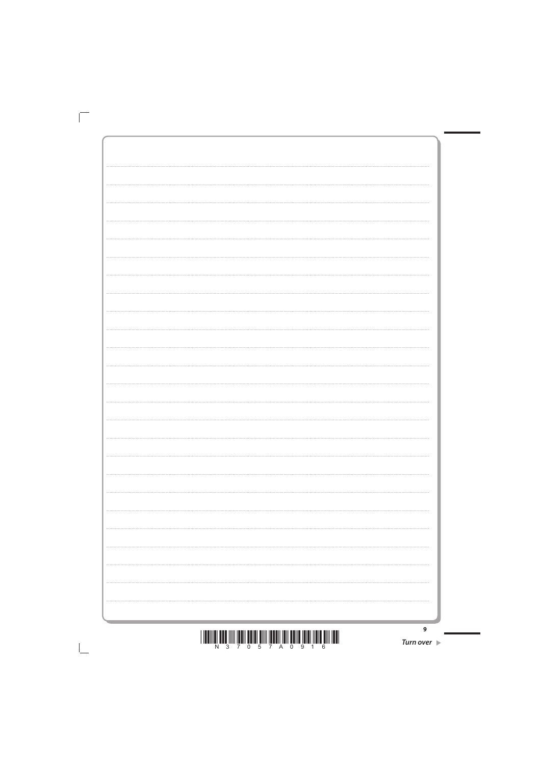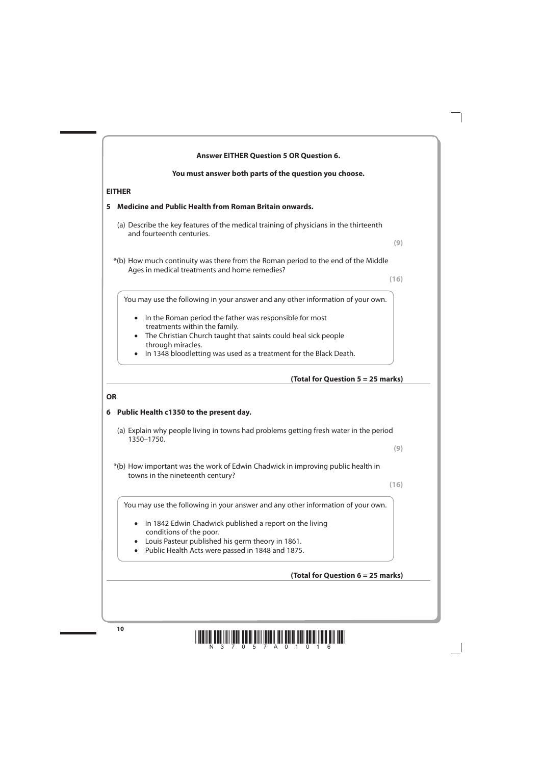

| <b>Answer EITHER Question 5 OR Question 6.</b>                                                                                     |      |
|------------------------------------------------------------------------------------------------------------------------------------|------|
| You must answer both parts of the question you choose.                                                                             |      |
| <b>EITHER</b>                                                                                                                      |      |
| <b>Medicine and Public Health from Roman Britain onwards.</b><br>5                                                                 |      |
| (a) Describe the key features of the medical training of physicians in the thirteenth<br>and fourteenth centuries.                 |      |
|                                                                                                                                    | (9)  |
| *(b) How much continuity was there from the Roman period to the end of the Middle<br>Ages in medical treatments and home remedies? | (16) |
| You may use the following in your answer and any other information of your own.                                                    |      |
| In the Roman period the father was responsible for most                                                                            |      |
| treatments within the family.<br>The Christian Church taught that saints could heal sick people                                    |      |
| through miracles.<br>In 1348 bloodletting was used as a treatment for the Black Death.                                             |      |
| (Total for Question 5 = 25 marks)                                                                                                  |      |
|                                                                                                                                    |      |
|                                                                                                                                    |      |
| <b>Public Health c1350 to the present day.</b>                                                                                     |      |
| <b>OR</b><br>O                                                                                                                     |      |
| (a) Explain why people living in towns had problems getting fresh water in the period<br>1350-1750.                                |      |
|                                                                                                                                    |      |
| *(b) How important was the work of Edwin Chadwick in improving public health in<br>towns in the nineteenth century?                | (9)  |
|                                                                                                                                    | (16) |
| You may use the following in your answer and any other information of your own.                                                    |      |
| In 1842 Edwin Chadwick published a report on the living                                                                            |      |
| conditions of the poor.<br>Louis Pasteur published his germ theory in 1861.                                                        |      |

**(Total for Question 6 = 25 marks)**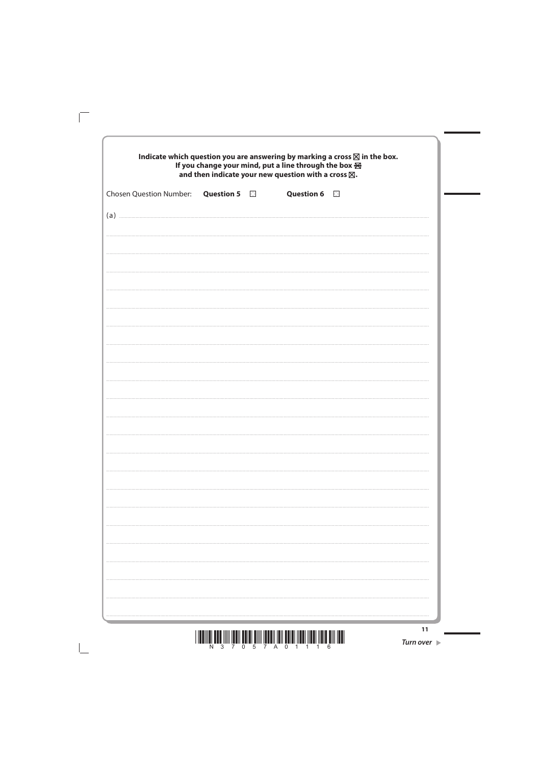| Indicate which question you are answering by marking a cross $\boxtimes$ in the box.<br>If you change your mind, put a line through the box $\boxtimes$<br>and then indicate your new question with a cross $\boxtimes$ . |  |  |  |  |
|---------------------------------------------------------------------------------------------------------------------------------------------------------------------------------------------------------------------------|--|--|--|--|
| Chosen Question Number: Question 5 2 Question 6 2                                                                                                                                                                         |  |  |  |  |
|                                                                                                                                                                                                                           |  |  |  |  |
|                                                                                                                                                                                                                           |  |  |  |  |
|                                                                                                                                                                                                                           |  |  |  |  |
|                                                                                                                                                                                                                           |  |  |  |  |
|                                                                                                                                                                                                                           |  |  |  |  |
|                                                                                                                                                                                                                           |  |  |  |  |
|                                                                                                                                                                                                                           |  |  |  |  |
|                                                                                                                                                                                                                           |  |  |  |  |
|                                                                                                                                                                                                                           |  |  |  |  |
|                                                                                                                                                                                                                           |  |  |  |  |
|                                                                                                                                                                                                                           |  |  |  |  |
|                                                                                                                                                                                                                           |  |  |  |  |
|                                                                                                                                                                                                                           |  |  |  |  |
|                                                                                                                                                                                                                           |  |  |  |  |
|                                                                                                                                                                                                                           |  |  |  |  |
|                                                                                                                                                                                                                           |  |  |  |  |
|                                                                                                                                                                                                                           |  |  |  |  |
|                                                                                                                                                                                                                           |  |  |  |  |
|                                                                                                                                                                                                                           |  |  |  |  |
|                                                                                                                                                                                                                           |  |  |  |  |
|                                                                                                                                                                                                                           |  |  |  |  |
|                                                                                                                                                                                                                           |  |  |  |  |

 $\overline{\Gamma}$ 

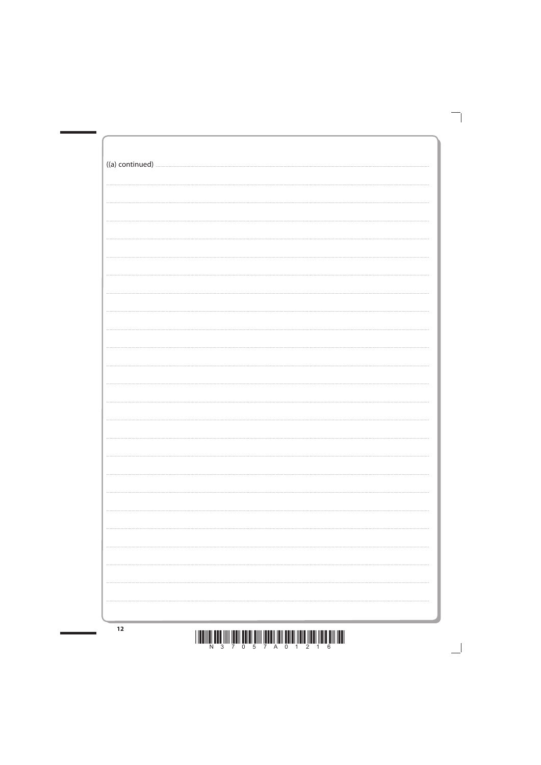

 $\overline{\phantom{0}}$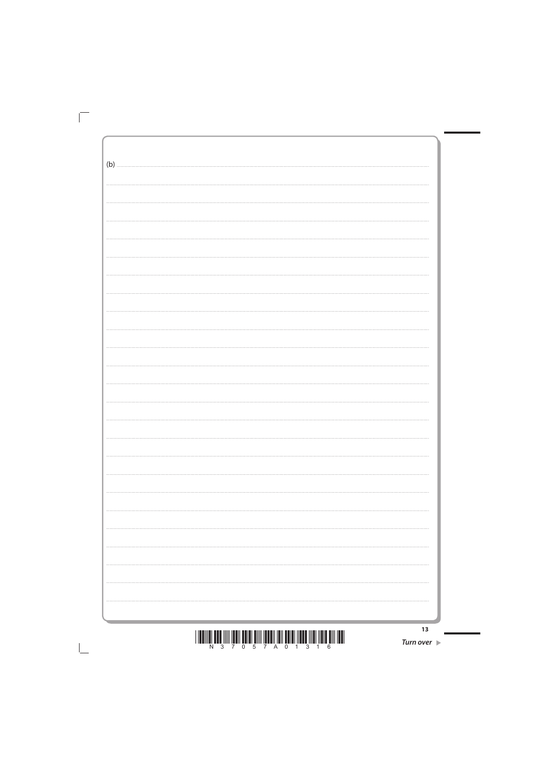| (b) |  |  |
|-----|--|--|
|     |  |  |
|     |  |  |
|     |  |  |
|     |  |  |
|     |  |  |
|     |  |  |
|     |  |  |
|     |  |  |
|     |  |  |
|     |  |  |
|     |  |  |
|     |  |  |
|     |  |  |
|     |  |  |
|     |  |  |
|     |  |  |
|     |  |  |
|     |  |  |
|     |  |  |
|     |  |  |
|     |  |  |
|     |  |  |
|     |  |  |
|     |  |  |
|     |  |  |
|     |  |  |
|     |  |  |
|     |  |  |
|     |  |  |
|     |  |  |
|     |  |  |
|     |  |  |
|     |  |  |
|     |  |  |
|     |  |  |
|     |  |  |
|     |  |  |
|     |  |  |
|     |  |  |
|     |  |  |
|     |  |  |
|     |  |  |
|     |  |  |
|     |  |  |
|     |  |  |
|     |  |  |
|     |  |  |
|     |  |  |
|     |  |  |
|     |  |  |
|     |  |  |
|     |  |  |
|     |  |  |
|     |  |  |
|     |  |  |
|     |  |  |
|     |  |  |
|     |  |  |
|     |  |  |
|     |  |  |
|     |  |  |
|     |  |  |
|     |  |  |
|     |  |  |
|     |  |  |
|     |  |  |
|     |  |  |
|     |  |  |
|     |  |  |
|     |  |  |
|     |  |  |
|     |  |  |
|     |  |  |

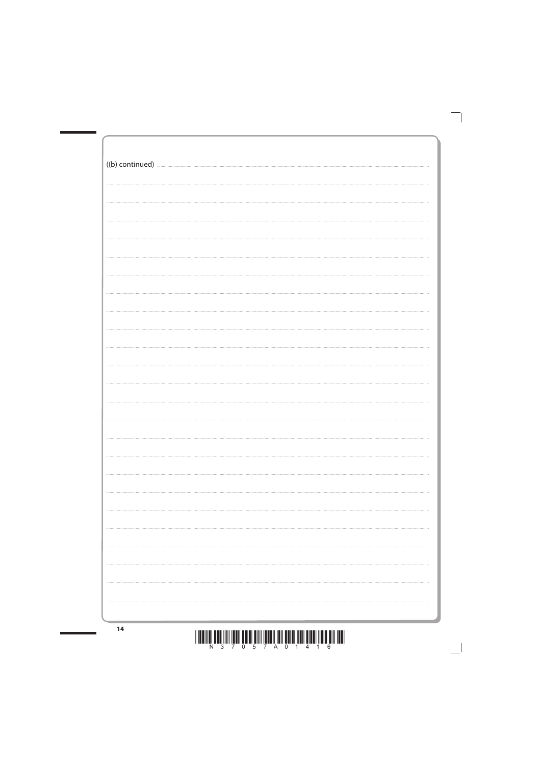

 $\overline{\phantom{0}}$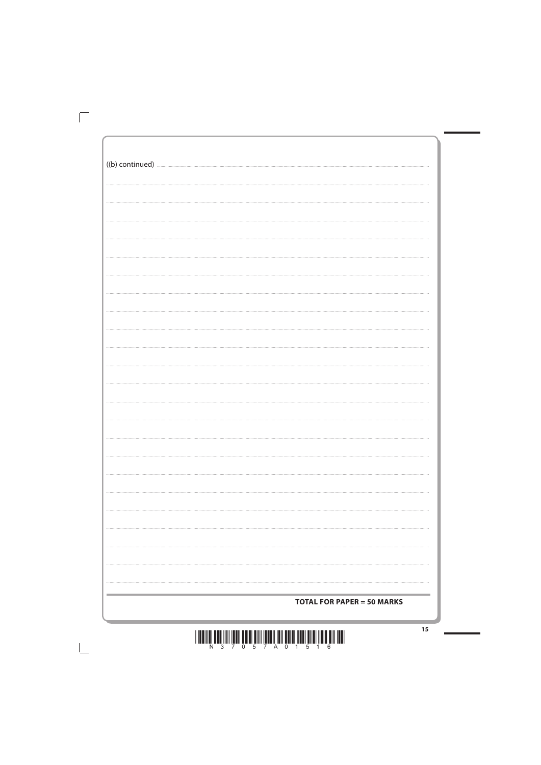$\overline{\Box}$